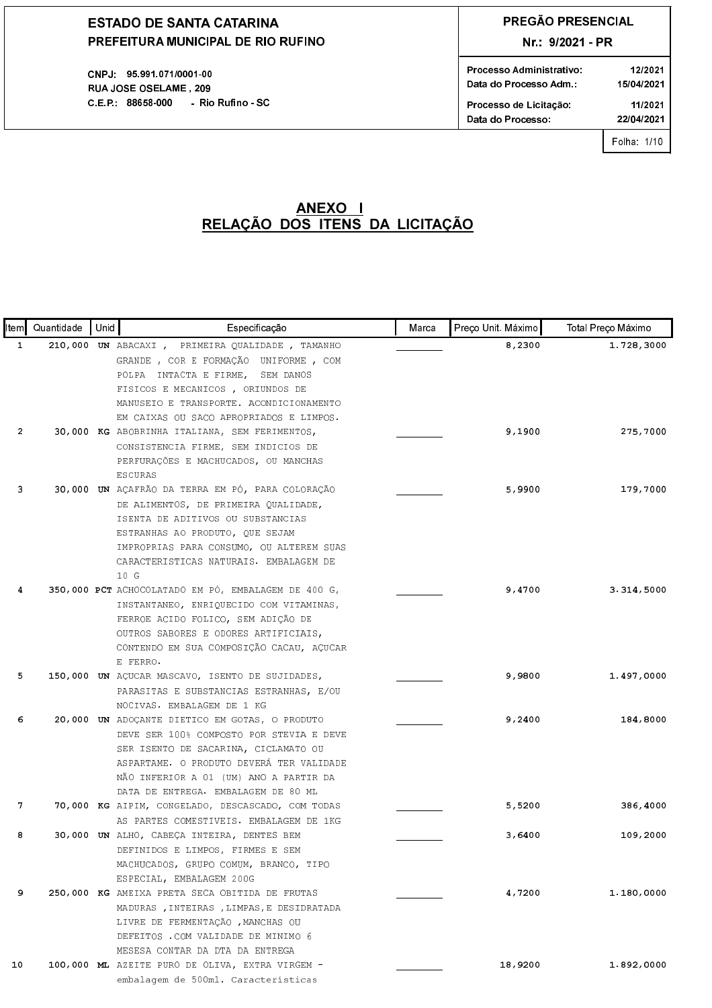CNPJ: 95.991.071/0001-00 RUA JOSE OSELAME, 209 C.E.P.: 88658-000 - Rio Rufino - SC

# PREGÃO PRESENCIAL

Nr.: 9/2021 - PR

| Processo Administrativo | 12/2021    |
|-------------------------|------------|
| Data do Processo Adm.:  | 15/04/2021 |
| Processo de Licitação:  | 11/2021    |
| Data do Processo.       | 22/04/2021 |
|                         |            |

Folha: 1/10

| ltem I         | Quantidade | Unid | Especificação                                                                                                                                                                                                                                                   | Marca | Preço Unit. Máximo | Total Preço Máximo |
|----------------|------------|------|-----------------------------------------------------------------------------------------------------------------------------------------------------------------------------------------------------------------------------------------------------------------|-------|--------------------|--------------------|
| 1              |            |      | 210,000 UN ABACAXI, PRIMEIRA QUALIDADE, TAMANHO<br>GRANDE, COR E FORMAÇÃO UNIFORME, COM<br>POLPA INTACTA E FIRME,<br>SEM DANOS<br>FISICOS E MECANICOS, ORIUNDOS DE<br>MANUSEIO E TRANSPORTE. ACONDICIONAMENTO<br>EM CAIXAS OU SACO APROPRIADOS E LIMPOS.        |       | 8,2300             | 1.728,3000         |
| $\overline{2}$ |            |      | 30,000 KG ABOBRINHA ITALIANA, SEM FERIMENTOS,<br>CONSISTENCIA FIRME, SEM INDICIOS DE<br>PERFURAÇÕES E MACHUCADOS, OU MANCHAS<br><b>ESCURAS</b>                                                                                                                  |       | 9,1900             | 275,7000           |
| 3              |            |      | 30,000 UN AÇAFRÃO DA TERRA EM PÓ, PARA COLORAÇÃO<br>DE ALIMENTOS, DE PRIMEIRA QUALIDADE,<br>ISENTA DE ADITIVOS OU SUBSTANCIAS<br>ESTRANHAS AO PRODUTO, QUE SEJAM<br>IMPROPRIAS PARA CONSUMO, OU ALTEREM SUAS<br>CARACTERISTICAS NATURAIS. EMBALAGEM DE<br>10 G  |       | 5,9900             | 179,7000           |
| 4              |            |      | 350,000 PCT ACHOCOLATADO EM PÓ, EMBALAGEM DE 400 G,<br>INSTANTANEO, ENRIQUECIDO COM VITAMINAS,<br>FERROE ACIDO FOLICO, SEM ADIÇÃO DE<br>OUTROS SABORES E ODORES ARTIFICIAIS,<br>CONTENDO EM SUA COMPOSIÇÃO CACAU, AÇUCAR<br>E FERRO.                            |       | 9,4700             | 3.314,5000         |
| 5              |            |      | 150,000 UN AÇUCAR MASCAVO, ISENTO DE SUJIDADES,<br>PARASITAS E SUBSTANCIAS ESTRANHAS, E/OU<br>NOCIVAS. EMBALAGEM DE 1 KG                                                                                                                                        |       | 9,9800             | 1.497,0000         |
| 6              |            |      | 20,000 UN ADOÇANTE DIETICO EM GOTAS, O PRODUTO<br>DEVE SER 100% COMPOSTO POR STEVIA E DEVE<br>SER ISENTO DE SACARINA, CICLAMATO OU<br>ASPARTAME. O PRODUTO DEVERÁ TER VALIDADE<br>NÃO INFERIOR A 01 (UM) ANO A PARTIR DA<br>DATA DE ENTREGA. EMBALAGEM DE 80 ML |       | 9,2400             | 184,8000           |
| 7              |            |      | 70,000 KG AIPIM, CONGELADO, DESCASCADO, COM TODAS<br>AS PARTES COMESTIVEIS. EMBALAGEM DE 1KG                                                                                                                                                                    |       | 5,5200             | 386,4000           |
| 8              |            |      | 30,000 UN ALHO, CABEÇA INTEIRA, DENTES BEM<br>DEFINIDOS E LIMPOS, FIRMES E SEM<br>MACHUCADOS, GRUPO COMUM, BRANCO, TIPO<br>ESPECIAL, EMBALAGEM 200G                                                                                                             |       | 3,6400             | 109,2000           |
| 9              |            |      | 250,000 KG AMEIXA PRETA SECA OBITIDA DE FRUTAS<br>MADURAS, INTEIRAS, LIMPAS, E DESIDRATADA<br>LIVRE DE FERMENTAÇÃO , MANCHAS OU<br>DEFEITOS .COM VALIDADE DE MINIMO 6<br>MESESA CONTAR DA DTA DA ENTREGA                                                        |       | 4,7200             | 1.180,0000         |
| 10             |            |      | 100,000 ML AZEITE PURO DE OLIVA, EXTRA VIRGEM -<br>embalagem de 500ml. Características                                                                                                                                                                          |       | 18,9200            | 1.892,0000         |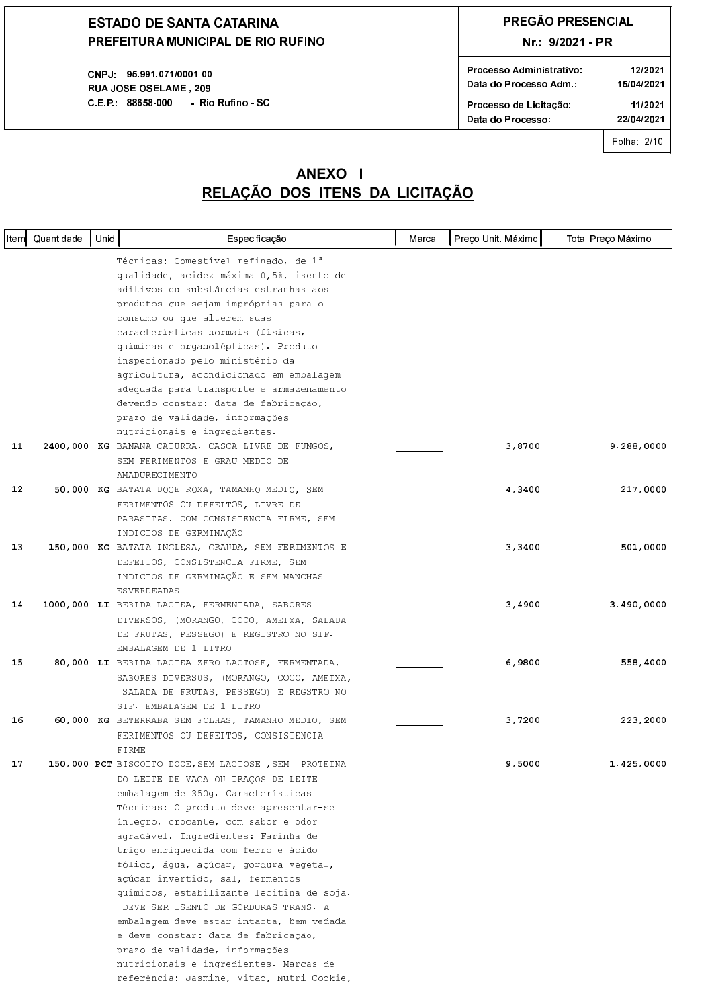CNPJ: 95.991.071/0001-00 **RUAJOSE OSELAME, 209** C.E.P.: 88658-000 - Rio Rufino - SC

## PREGÃO PRESENCIAL

### Nr.: 9/2021 - PR

| Processo Administrativo | 12/2021    |
|-------------------------|------------|
| Data do Processo Adm.:  | 15/04/2021 |
| Processo de Licitação   | 11/2021    |
| Data do Processo:       | 22/04/2021 |
|                         |            |

Folha: 2/10

|    | Item Quantidade | Unid | Especificação                                                                | Marca | Preço Unit. Máximo | Total Preço Máximo |
|----|-----------------|------|------------------------------------------------------------------------------|-------|--------------------|--------------------|
|    |                 |      | Técnicas: Comestível refinado, de 1ª                                         |       |                    |                    |
|    |                 |      | qualidade, acidez máxima 0,5%, isento de                                     |       |                    |                    |
|    |                 |      | aditivos ou substâncias estranhas aos                                        |       |                    |                    |
|    |                 |      | produtos que sejam impróprias para o                                         |       |                    |                    |
|    |                 |      | consumo ou que alterem suas                                                  |       |                    |                    |
|    |                 |      | características normais (físicas,                                            |       |                    |                    |
|    |                 |      | químicas e organolépticas). Produto                                          |       |                    |                    |
|    |                 |      | inspecionado pelo ministério da                                              |       |                    |                    |
|    |                 |      | agricultura, acondicionado em embalagem                                      |       |                    |                    |
|    |                 |      | adequada para transporte e armazenamento                                     |       |                    |                    |
|    |                 |      | devendo constar: data de fabricação,                                         |       |                    |                    |
|    |                 |      | prazo de validade, informações                                               |       |                    |                    |
|    |                 |      | nutricionais e ingredientes.                                                 |       |                    |                    |
| 11 |                 |      | 2400,000 KG BANANA CATURRA. CASCA LIVRE DE FUNGOS,                           |       | 3,8700             | 9.288,0000         |
|    |                 |      | SEM FERIMENTOS E GRAU MEDIO DE                                               |       |                    |                    |
|    |                 |      | AMADURECIMENTO                                                               |       |                    |                    |
| 12 |                 |      | 50,000 KG BATATA DOCE ROXA, TAMANHO MEDIO, SEM                               |       | 4,3400             | 217,0000           |
|    |                 |      | FERIMENTOS OU DEFEITOS, LIVRE DE                                             |       |                    |                    |
|    |                 |      | PARASITAS. COM CONSISTENCIA FIRME, SEM                                       |       |                    |                    |
|    |                 |      | INDICIOS DE GERMINAÇÃO                                                       |       |                    |                    |
| 13 |                 |      | 150,000 KG BATATA INGLESA, GRAUDA, SEM FERIMENTOS E                          |       | 3,3400             | 501,0000           |
|    |                 |      | DEFEITOS, CONSISTENCIA FIRME, SEM                                            |       |                    |                    |
|    |                 |      | INDICIOS DE GERMINAÇÃO E SEM MANCHAS                                         |       |                    |                    |
|    |                 |      | <b>ESVERDEADAS</b>                                                           |       |                    |                    |
| 14 |                 |      | 1000,000 LI BEBIDA LACTEA, FERMENTADA, SABORES                               |       | 3,4900             | 3.490,0000         |
|    |                 |      | DIVERSOS, (MORANGO, COCO, AMEIXA, SALADA                                     |       |                    |                    |
|    |                 |      | DE FRUTAS, PESSEGO) E REGISTRO NO SIF.                                       |       |                    |                    |
|    |                 |      | EMBALAGEM DE 1 LITRO                                                         |       |                    |                    |
| 15 |                 |      | 80,000 LI BEBIDA LACTEA ZERO LACTOSE, FERMENTADA,                            |       | 6,9800             | 558,4000           |
|    |                 |      | SABORES DIVERSOS, (MORANGO, COCO, AMEIXA,                                    |       |                    |                    |
|    |                 |      | SALADA DE FRUTAS, PESSEGO) E REGSTRO NO                                      |       |                    |                    |
|    |                 |      | SIF. EMBALAGEM DE 1 LITRO                                                    |       |                    |                    |
| 16 |                 |      | 60,000 KG BETERRABA SEM FOLHAS, TAMANHO MEDIO, SEM                           |       | 3,7200             | 223,2000           |
|    |                 |      | FERIMENTOS OU DEFEITOS, CONSISTENCIA                                         |       |                    |                    |
| 17 |                 |      | FIRME                                                                        |       | 9,5000             |                    |
|    |                 |      | 150,000 PCT BISCOITO DOCE, SEM LACTOSE , SEM PROTEINA                        |       |                    | 1.425,0000         |
|    |                 |      | DO LEITE DE VACA OU TRAÇOS DE LEITE                                          |       |                    |                    |
|    |                 |      | embalagem de 350g. Características<br>Técnicas: O produto deve apresentar-se |       |                    |                    |
|    |                 |      | íntegro, crocante, com sabor e odor                                          |       |                    |                    |
|    |                 |      | agradável. Ingredientes: Farinha de                                          |       |                    |                    |
|    |                 |      | trigo enriquecida com ferro e ácido                                          |       |                    |                    |
|    |                 |      | fólico, água, açúcar, gordura vegetal,                                       |       |                    |                    |
|    |                 |      | açúcar invertido, sal, fermentos                                             |       |                    |                    |
|    |                 |      | químicos, estabilizante lecitina de soja.                                    |       |                    |                    |
|    |                 |      | DEVE SER ISENTO DE GORDURAS TRANS. A                                         |       |                    |                    |
|    |                 |      | embalagem deve estar intacta, bem vedada                                     |       |                    |                    |
|    |                 |      | e deve constar: data de fabricação,                                          |       |                    |                    |
|    |                 |      | prazo de validade, informações                                               |       |                    |                    |
|    |                 |      | nutricionais e ingredientes. Marcas de                                       |       |                    |                    |
|    |                 |      | referência: Jasmine, Vitao, Nutri Cookie,                                    |       |                    |                    |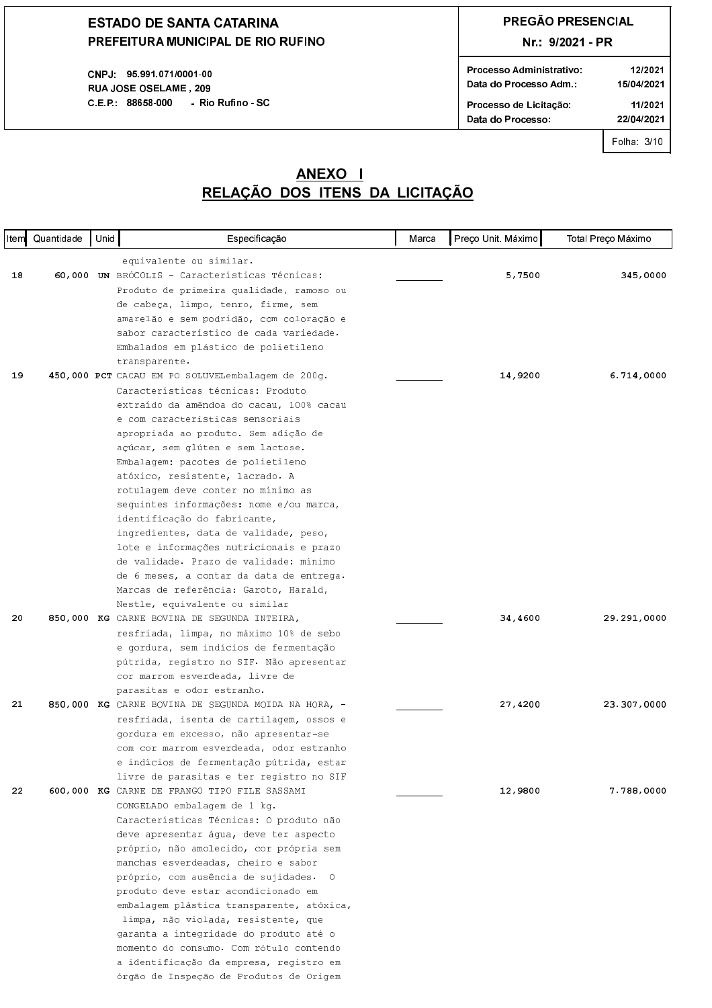CNPJ 95 991 071/0001 00 **RUAJOSE OSELAME. 209** C.E.P. 88658-000 - Rio Rufino - SC

## **PREGÃO PRESENCIAL**

### Nr.: 9/2021 - PR

| Processo Administrativo<br>Data do Processo Adm | 12/2021<br>15/04/2021 |
|-------------------------------------------------|-----------------------|
| Processo de Licitação                           | 11/2021               |
| Data do Processo:                               | 22/04/2021            |
|                                                 |                       |

Folha: 3/10

### <u>RELAÇÃO DOS ITENS DA LICITAÇÃO</u> **ANEXO I**

| Item | Quantidade | Unid | Especificação                                                                        | Marca | Preço Unit. Máximo | Total Preço Máximo |
|------|------------|------|--------------------------------------------------------------------------------------|-------|--------------------|--------------------|
|      |            |      | equivalente ou similar.                                                              |       |                    |                    |
| 18   |            |      | 60,000 UN BRÓCOLIS - Características Técnicas:                                       |       | 5,7500             | 345,0000           |
|      |            |      | Produto de primeira qualidade, ramoso ou                                             |       |                    |                    |
|      |            |      | de cabeça, limpo, tenro, firme, sem                                                  |       |                    |                    |
|      |            |      | amarelão e sem podridão, com coloração e                                             |       |                    |                    |
|      |            |      | sabor característico de cada variedade.                                              |       |                    |                    |
|      |            |      | Embalados em plástico de polietileno                                                 |       |                    |                    |
| 19   |            |      | transparente.<br>450,000 PCT CACAU EM PO SOLUVELembalagem de 200g.                   |       | 14,9200            | 6.714,0000         |
|      |            |      | Características técnicas: Produto                                                    |       |                    |                    |
|      |            |      | extraído da amêndoa do cacau, 100% cacau                                             |       |                    |                    |
|      |            |      | e com características sensoriais                                                     |       |                    |                    |
|      |            |      | apropriada ao produto. Sem adição de                                                 |       |                    |                    |
|      |            |      | açúcar, sem glúten e sem lactose.                                                    |       |                    |                    |
|      |            |      | Embalagem: pacotes de polietileno                                                    |       |                    |                    |
|      |            |      | atóxico, resistente, lacrado. A                                                      |       |                    |                    |
|      |            |      | rotulagem deve conter no mínimo as                                                   |       |                    |                    |
|      |            |      | seguintes informações: nome e/ou marca,                                              |       |                    |                    |
|      |            |      | identificação do fabricante,                                                         |       |                    |                    |
|      |            |      | ingredientes, data de validade, peso,                                                |       |                    |                    |
|      |            |      | lote e informações nutricionais e prazo                                              |       |                    |                    |
|      |            |      | de validade. Prazo de validade: mínimo                                               |       |                    |                    |
|      |            |      | de 6 meses, a contar da data de entrega.                                             |       |                    |                    |
|      |            |      | Marcas de referência: Garoto, Harald,                                                |       |                    |                    |
|      |            |      | Nestle, equivalente ou similar                                                       |       |                    |                    |
| 20   |            |      | 850,000 KG CARNE BOVINA DE SEGUNDA INTEIRA,                                          |       | 34,4600            | 29.291,0000        |
|      |            |      | resfriada, limpa, no máximo 10% de sebo                                              |       |                    |                    |
|      |            |      | e gordura, sem indícios de fermentação                                               |       |                    |                    |
|      |            |      | pútrida, registro no SIF. Não apresentar                                             |       |                    |                    |
|      |            |      | cor marrom esverdeada, livre de                                                      |       |                    |                    |
|      |            |      | parasitas e odor estranho.                                                           |       |                    |                    |
| 21   |            |      | 850,000 KG CARNE BOVINA DE SEGUNDA MOIDA NA HORA, -                                  |       | 27,4200            | 23.307,0000        |
|      |            |      | resfriada, isenta de cartilagem, ossos e                                             |       |                    |                    |
|      |            |      | gordura em excesso, não apresentar-se                                                |       |                    |                    |
|      |            |      | com cor marrom esverdeada, odor estranho<br>e indícios de fermentação pútrida, estar |       |                    |                    |
|      |            |      | livre de parasitas e ter registro no SIF                                             |       |                    |                    |
| 22   |            |      | 600,000 KG CARNE DE FRANGO TIPO FILE SASSAMI                                         |       | 12,9800            | 7.788,0000         |
|      |            |      | CONGELADO embalagem de 1 kg.                                                         |       |                    |                    |
|      |            |      | Características Técnicas: O produto não                                              |       |                    |                    |
|      |            |      | deve apresentar água, deve ter aspecto                                               |       |                    |                    |
|      |            |      | próprio, não amolecido, cor própria sem                                              |       |                    |                    |
|      |            |      | manchas esverdeadas, cheiro e sabor                                                  |       |                    |                    |
|      |            |      | próprio, com ausência de sujidades. O                                                |       |                    |                    |
|      |            |      | produto deve estar acondicionado em                                                  |       |                    |                    |
|      |            |      | embalagem plástica transparente, atóxica,                                            |       |                    |                    |
|      |            |      | limpa, não violada, resistente, que                                                  |       |                    |                    |
|      |            |      | garanta a integridade do produto até o                                               |       |                    |                    |
|      |            |      | momento do consumo. Com rótulo contendo                                              |       |                    |                    |
|      |            |      | a identificação da empresa, registro em                                              |       |                    |                    |
|      |            |      | órgão de Inspeção de Produtos de Origem                                              |       |                    |                    |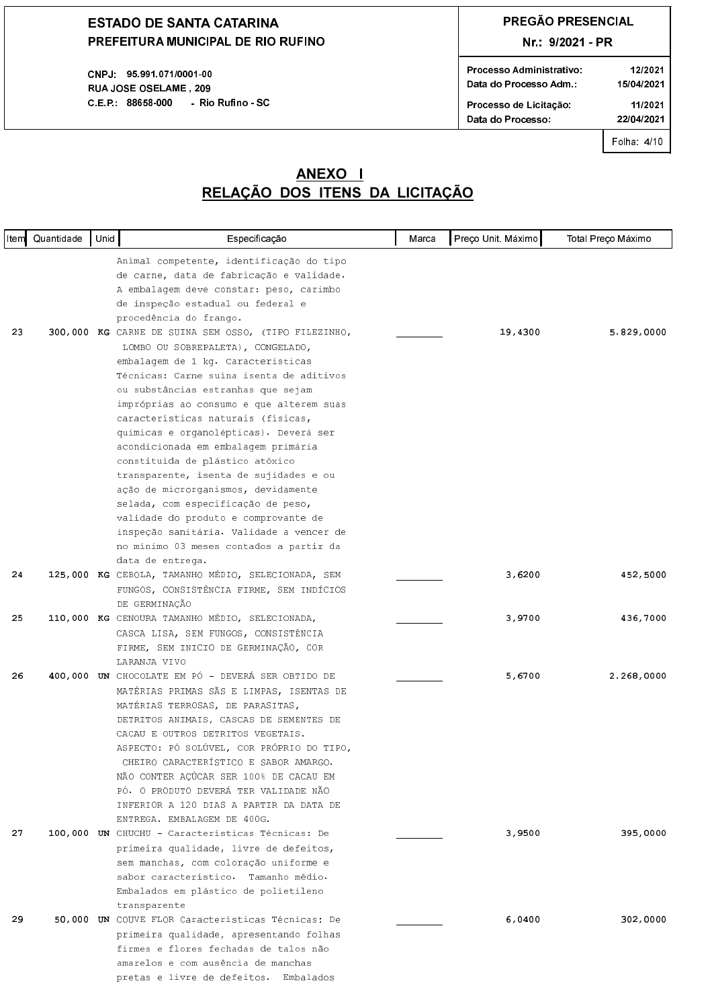CNPJ 95 991 071/0001-00 **RUAJOSE OSELAME, 209** C.E.P.: 88658-000 - Rio Rufino - SC

## PREGÃO PRESENCIAL

### Nr.: 9/2021 - PR

| Processo Administrativo<br>Data do Processo Adm | 12/2021<br>15/04/2021 |
|-------------------------------------------------|-----------------------|
| Processo de Licitação                           | 11/2021               |
| Data do Processo:                               | 22/04/2021            |
|                                                 |                       |

Folha: 4/10

| ltem∥ | Quantidade | Unid | Especificação                                                                   | Marca | Preço Unit. Máximo | Total Preço Máximo |
|-------|------------|------|---------------------------------------------------------------------------------|-------|--------------------|--------------------|
|       |            |      | Animal competente, identificação do tipo                                        |       |                    |                    |
|       |            |      | de carne, data de fabricação e validade.                                        |       |                    |                    |
|       |            |      | A embalagem deve constar: peso, carimbo                                         |       |                    |                    |
|       |            |      | de inspeção estadual ou federal e                                               |       |                    |                    |
|       |            |      | procedência do frango.                                                          |       |                    |                    |
| 23    |            |      | 300,000 KG CARNE DE SUINA SEM OSSO, (TIPO FILEZINHO,                            |       | 19,4300            | 5.829,0000         |
|       |            |      | LOMBO OU SOBREPALETA), CONGELADO,                                               |       |                    |                    |
|       |            |      | embalagem de 1 kg. Características                                              |       |                    |                    |
|       |            |      | Técnicas: Carne suína isenta de aditivos                                        |       |                    |                    |
|       |            |      | ou substâncias estranhas que sejam                                              |       |                    |                    |
|       |            |      | impróprias ao consumo e que alterem suas                                        |       |                    |                    |
|       |            |      | características naturais (físicas,                                              |       |                    |                    |
|       |            |      | químicas e organolépticas). Deverá ser                                          |       |                    |                    |
|       |            |      | acondicionada em embalagem primária                                             |       |                    |                    |
|       |            |      | constituída de plástico atóxico                                                 |       |                    |                    |
|       |            |      | transparente, isenta de sujidades e ou                                          |       |                    |                    |
|       |            |      | ação de microrganismos, devidamente                                             |       |                    |                    |
|       |            |      | selada, com especificação de peso,<br>validade do produto e comprovante de      |       |                    |                    |
|       |            |      | inspeção sanitária. Validade a vencer de                                        |       |                    |                    |
|       |            |      | no mínimo 03 meses contados a partir da                                         |       |                    |                    |
|       |            |      | data de entrega.                                                                |       |                    |                    |
| 24    |            |      | 125,000 KG CEBOLA, TAMANHO MÉDIO, SELECIONADA, SEM                              |       | 3,6200             | 452,5000           |
|       |            |      | FUNGOS, CONSISTÊNCIA FIRME, SEM INDÍCIOS                                        |       |                    |                    |
|       |            |      | DE GERMINAÇÃO                                                                   |       |                    |                    |
| 25    |            |      | 110,000 KG CENOURA TAMANHO MÉDIO, SELECIONADA,                                  |       | 3,9700             | 436,7000           |
|       |            |      | CASCA LISA, SEM FUNGOS, CONSISTÊNCIA                                            |       |                    |                    |
|       |            |      | FIRME, SEM INICIO DE GERMINAÇÃO, COR                                            |       |                    |                    |
|       |            |      | LARANJA VIVO                                                                    |       |                    |                    |
| 26    |            |      | 400,000 UN CHOCOLATE EM PÓ - DEVERÁ SER OBTIDO DE                               |       | 5,6700             | 2.268,0000         |
|       |            |      | MATÉRIAS PRIMAS SÃS E LIMPAS, ISENTAS DE                                        |       |                    |                    |
|       |            |      | MATÉRIAS TERROSAS, DE PARASITAS,                                                |       |                    |                    |
|       |            |      | DETRITOS ANIMAIS, CASCAS DE SEMENTES DE                                         |       |                    |                    |
|       |            |      | CACAU E OUTROS DETRITOS VEGETAIS.                                               |       |                    |                    |
|       |            |      | ASPECTO: PÓ SOLÚVEL, COR PRÓPRIO DO TIPO,                                       |       |                    |                    |
|       |            |      | CHEIRO CARACTERÍSTICO E SABOR AMARGO.<br>NÃO CONTER AÇÚCAR SER 100% DE CACAU EM |       |                    |                    |
|       |            |      | PÓ. O PRODUTO DEVERÁ TER VALIDADE NÃO                                           |       |                    |                    |
|       |            |      | INFERIOR A 120 DIAS A PARTIR DA DATA DE                                         |       |                    |                    |
|       |            |      | ENTREGA. EMBALAGEM DE 400G.                                                     |       |                    |                    |
| 27    |            |      | 100,000 UN CHUCHU - Características Técnicas: De                                |       | 3,9500             | 395,0000           |
|       |            |      | primeira qualidade, livre de defeitos,                                          |       |                    |                    |
|       |            |      | sem manchas, com coloração uniforme e                                           |       |                    |                    |
|       |            |      | sabor característico. Tamanho médio.                                            |       |                    |                    |
|       |            |      | Embalados em plástico de polietileno                                            |       |                    |                    |
|       |            |      | transparente                                                                    |       |                    |                    |
| 29    |            |      | 50,000 UN COUVE FLOR Características Técnicas: De                               |       | 6,0400             | 302,0000           |
|       |            |      | primeira qualidade, apresentando folhas                                         |       |                    |                    |
|       |            |      | firmes e flores fechadas de talos não                                           |       |                    |                    |
|       |            |      | amarelos e com ausência de manchas                                              |       |                    |                    |
|       |            |      | pretas e livre de defeitos. Embalados                                           |       |                    |                    |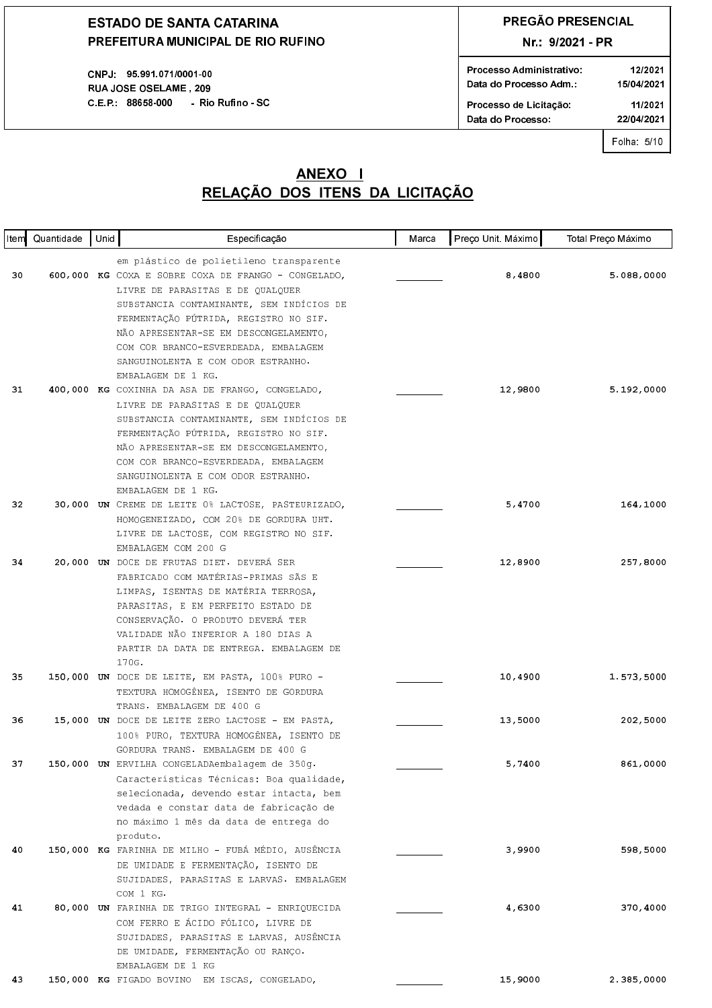CNPJ: 95.991.071/0001-00 RUAJOSE OSELAME, 209 C.E.P.: 88658-000 - Rio Rufino - SC

## PREGÃO PRESENCIAL

### Nr.: 9/2021 - PR

|                       | 12/2021<br>15/04/2021 |
|-----------------------|-----------------------|
| Processo de Licitação | 11/2021               |
| Data do Processo:     | 22/04/2021            |

Folha: 5/10

| ∣ltem∥ | Quantidade | Unid | Especificação                                                                               | Marca | Preço Unit. Máximo | Total Preço Máximo |
|--------|------------|------|---------------------------------------------------------------------------------------------|-------|--------------------|--------------------|
|        |            |      | em plástico de polietileno transparente                                                     |       |                    |                    |
| 30     |            |      | 600,000 KG COXA E SOBRE COXA DE FRANGO - CONGELADO,                                         |       | 8,4800             | 5.088,0000         |
|        |            |      | LIVRE DE PARASITAS E DE QUALQUER                                                            |       |                    |                    |
|        |            |      | SUBSTANCIA CONTAMINANTE, SEM INDÍCIOS DE                                                    |       |                    |                    |
|        |            |      | FERMENTAÇÃO PÚTRIDA, REGISTRO NO SIF.                                                       |       |                    |                    |
|        |            |      | NÃO APRESENTAR-SE EM DESCONGELAMENTO,                                                       |       |                    |                    |
|        |            |      | COM COR BRANCO-ESVERDEADA, EMBALAGEM                                                        |       |                    |                    |
|        |            |      | SANGUINOLENTA E COM ODOR ESTRANHO.                                                          |       |                    |                    |
|        |            |      | EMBALAGEM DE 1 KG.                                                                          |       |                    |                    |
| 31     |            |      | 400,000 KG COXINHA DA ASA DE FRANGO, CONGELADO,                                             |       | 12,9800            | 5.192,0000         |
|        |            |      | LIVRE DE PARASITAS E DE QUALQUER                                                            |       |                    |                    |
|        |            |      | SUBSTANCIA CONTAMINANTE, SEM INDÍCIOS DE                                                    |       |                    |                    |
|        |            |      | FERMENTAÇÃO PÚTRIDA, REGISTRO NO SIF.                                                       |       |                    |                    |
|        |            |      | NÃO APRESENTAR-SE EM DESCONGELAMENTO,                                                       |       |                    |                    |
|        |            |      | COM COR BRANCO-ESVERDEADA, EMBALAGEM<br>SANGUINOLENTA E COM ODOR ESTRANHO.                  |       |                    |                    |
|        |            |      | EMBALAGEM DE 1 KG.                                                                          |       |                    |                    |
| 32     |            |      | 30,000 UN CREME DE LEITE 0% LACTOSE, PASTEURIZADO,                                          |       | 5,4700             | 164,1000           |
|        |            |      | HOMOGENEIZADO, COM 20% DE GORDURA UHT.                                                      |       |                    |                    |
|        |            |      | LIVRE DE LACTOSE, COM REGISTRO NO SIF.                                                      |       |                    |                    |
|        |            |      | EMBALAGEM COM 200 G                                                                         |       |                    |                    |
| 34     |            |      | 20,000 UN DOCE DE FRUTAS DIET. DEVERÁ SER                                                   |       | 12,8900            | 257,8000           |
|        |            |      | FABRICADO COM MATÉRIAS-PRIMAS SÃS E                                                         |       |                    |                    |
|        |            |      | LIMPAS, ISENTAS DE MATÉRIA TERROSA,                                                         |       |                    |                    |
|        |            |      | PARASITAS, E EM PERFEITO ESTADO DE                                                          |       |                    |                    |
|        |            |      | CONSERVAÇÃO. O PRODUTO DEVERÁ TER                                                           |       |                    |                    |
|        |            |      | VALIDADE NÃO INFERIOR A 180 DIAS A                                                          |       |                    |                    |
|        |            |      | PARTIR DA DATA DE ENTREGA. EMBALAGEM DE                                                     |       |                    |                    |
|        |            |      | 170G.                                                                                       |       |                    |                    |
| 35     |            |      | 150,000 UN DOCE DE LEITE, EM PASTA, 100% PURO -                                             |       | 10,4900            | 1.573,5000         |
|        |            |      | TEXTURA HOMOGÊNEA, ISENTO DE GORDURA                                                        |       |                    |                    |
| 36     |            |      | TRANS. EMBALAGEM DE 400 G                                                                   |       | 13,5000            | 202,5000           |
|        |            |      | 15,000 UN DOCE DE LEITE ZERO LACTOSE - EM PASTA,<br>100% PURO, TEXTURA HOMOGÊNEA, ISENTO DE |       |                    |                    |
|        |            |      | GORDURA TRANS. EMBALAGEM DE 400 G                                                           |       |                    |                    |
| 37     |            |      | 150,000 UN ERVILHA CONGELADAembalagem de 350g.                                              |       | 5,7400             | 861,0000           |
|        |            |      | Características Técnicas: Boa qualidade,                                                    |       |                    |                    |
|        |            |      | selecionada, devendo estar intacta, bem                                                     |       |                    |                    |
|        |            |      | vedada e constar data de fabricação de                                                      |       |                    |                    |
|        |            |      | no máximo 1 mês da data de entrega do                                                       |       |                    |                    |
|        |            |      | produto.                                                                                    |       |                    |                    |
| 40     |            |      | 150,000 KG FARINHA DE MILHO - FUBÁ MÉDIO, AUSÊNCIA                                          |       | 3,9900             | 598,5000           |
|        |            |      | DE UMIDADE E FERMENTAÇÃO, ISENTO DE                                                         |       |                    |                    |
|        |            |      | SUJIDADES, PARASITAS E LARVAS. EMBALAGEM                                                    |       |                    |                    |
|        |            |      | COM 1 KG.                                                                                   |       |                    |                    |
| 41     |            |      | 80,000 UN FARINHA DE TRIGO INTEGRAL - ENRIQUECIDA                                           |       | 4,6300             | 370,4000           |
|        |            |      | COM FERRO E ÁCIDO FÓLICO, LIVRE DE                                                          |       |                    |                    |
|        |            |      | SUJIDADES, PARASITAS E LARVAS, AUSÊNCIA                                                     |       |                    |                    |
|        |            |      | DE UMIDADE, FERMENTAÇÃO OU RANÇO.                                                           |       |                    |                    |
|        |            |      | EMBALAGEM DE 1 KG                                                                           |       | 15,9000            |                    |
| 43     |            |      | 150,000 KG FIGADO BOVINO EM ISCAS, CONGELADO,                                               |       |                    | 2.385,0000         |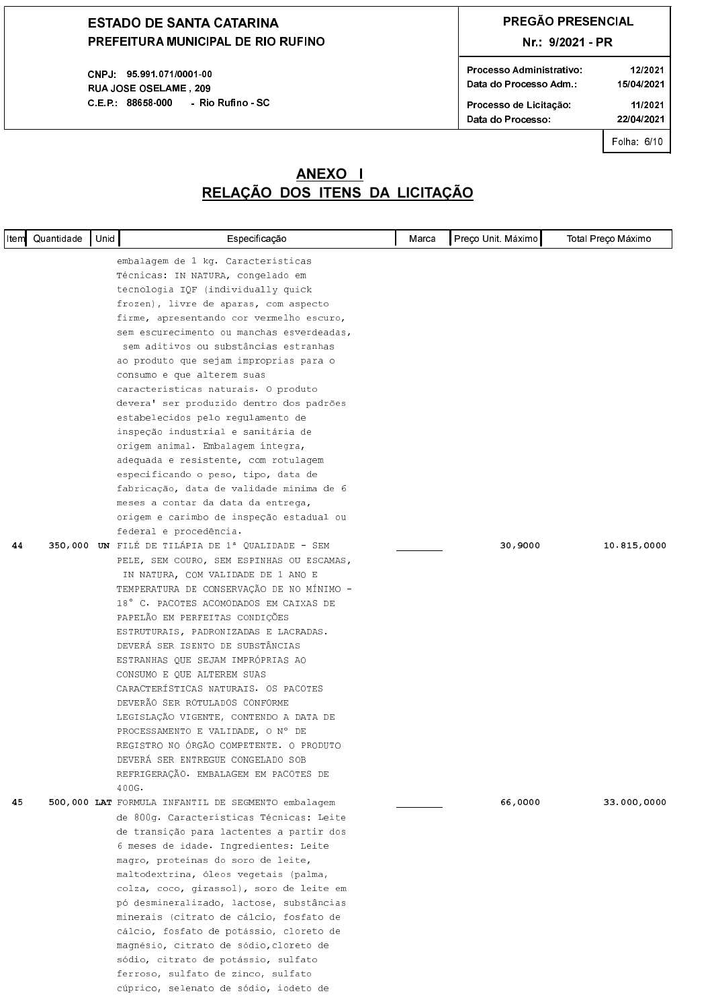CNPJ 95 991 071/0001 00 **RUAJOSE OSELAME. 209** C.E.P. 88658-000 - Rio Rufino - SC

## **PREGÃO PRESENCIAL**

### Nr.: 9/2021 - PR

| Processo Administrativo | 12/2021    |
|-------------------------|------------|
| Data do Processo Adm.:  | 15/04/2021 |
| Processo de Licitação   | 11/2021    |
| Data do Processo:       | 22/04/2021 |
|                         |            |

Folha 6/10

### <u>RELAÇÃO DOS ITENS DA LICITAÇÃO</u> **ANEXO I**

|    | Item Quantidade | Unid | Especificação                                                                  | Marca | Preço Unit. Máximo | Total Preço Máximo |
|----|-----------------|------|--------------------------------------------------------------------------------|-------|--------------------|--------------------|
|    |                 |      | embalagem de 1 kg. Características                                             |       |                    |                    |
|    |                 |      | Técnicas: IN NATURA, congelado em                                              |       |                    |                    |
|    |                 |      | tecnologia IQF (individually quick                                             |       |                    |                    |
|    |                 |      | frozen), livre de aparas, com aspecto                                          |       |                    |                    |
|    |                 |      | firme, apresentando cor vermelho escuro,                                       |       |                    |                    |
|    |                 |      | sem escurecimento ou manchas esverdeadas,                                      |       |                    |                    |
|    |                 |      | sem aditivos ou substâncias estranhas                                          |       |                    |                    |
|    |                 |      | ao produto que sejam improprias para o                                         |       |                    |                    |
|    |                 |      | consumo e que alterem suas                                                     |       |                    |                    |
|    |                 |      | características naturais. O produto                                            |       |                    |                    |
|    |                 |      | devera' ser produzido dentro dos padrões                                       |       |                    |                    |
|    |                 |      | estabelecidos pelo regulamento de                                              |       |                    |                    |
|    |                 |      | inspeção industrial e sanitária de                                             |       |                    |                    |
|    |                 |      | origem animal. Embalagem integra,                                              |       |                    |                    |
|    |                 |      | adequada e resistente, com rotulagem                                           |       |                    |                    |
|    |                 |      | especificando o peso, tipo, data de                                            |       |                    |                    |
|    |                 |      | fabricação, data de validade mínima de 6<br>meses a contar da data da entrega, |       |                    |                    |
|    |                 |      | origem e carimbo de inspeção estadual ou                                       |       |                    |                    |
|    |                 |      | federal e procedência.                                                         |       |                    |                    |
| 44 |                 |      | 350,000 UN FILÉ DE TILÁPIA DE 1ª QUALIDADE - SEM                               |       | 30,9000            | 10.815,0000        |
|    |                 |      | PELE, SEM COURO, SEM ESPINHAS OU ESCAMAS,                                      |       |                    |                    |
|    |                 |      | IN NATURA, COM VALIDADE DE 1 ANO E                                             |       |                    |                    |
|    |                 |      | TEMPERATURA DE CONSERVAÇÃO DE NO MÍNIMO -                                      |       |                    |                    |
|    |                 |      | 18° C. PACOTES ACOMODADOS EM CAIXAS DE                                         |       |                    |                    |
|    |                 |      | PAPELÃO EM PERFEITAS CONDIÇÕES                                                 |       |                    |                    |
|    |                 |      | ESTRUTURAIS, PADRONIZADAS E LACRADAS.                                          |       |                    |                    |
|    |                 |      | DEVERÁ SER ISENTO DE SUBSTÂNCIAS                                               |       |                    |                    |
|    |                 |      | ESTRANHAS QUE SEJAM IMPRÓPRIAS AO                                              |       |                    |                    |
|    |                 |      | CONSUMO E QUE ALTEREM SUAS                                                     |       |                    |                    |
|    |                 |      | CARACTERÍSTICAS NATURAIS. OS PACOTES                                           |       |                    |                    |
|    |                 |      | DEVERÃO SER ROTULADOS CONFORME                                                 |       |                    |                    |
|    |                 |      | LEGISLAÇÃO VIGENTE, CONTENDO A DATA DE                                         |       |                    |                    |
|    |                 |      | PROCESSAMENTO E VALIDADE, O Nº DE                                              |       |                    |                    |
|    |                 |      | REGISTRO NO ÓRGÃO COMPETENTE. O PRODUTO                                        |       |                    |                    |
|    |                 |      | DEVERÁ SER ENTREGUE CONGELADO SOB                                              |       |                    |                    |
|    |                 |      | REFRIGERAÇÃO. EMBALAGEM EM PACOTES DE<br>400G.                                 |       |                    |                    |
| 45 |                 |      | 500,000 LAT FORMULA INFANTIL DE SEGMENTO embalagem                             |       | 66,0000            | 33.000,0000        |
|    |                 |      | de 800q. Características Técnicas: Leite                                       |       |                    |                    |
|    |                 |      | de transição para lactentes a partir dos                                       |       |                    |                    |
|    |                 |      | 6 meses de idade. Ingredientes: Leite                                          |       |                    |                    |
|    |                 |      | magro, proteínas do soro de leite,                                             |       |                    |                    |
|    |                 |      | maltodextrina, óleos vegetais (palma,                                          |       |                    |                    |
|    |                 |      | colza, coco, girassol), soro de leite em                                       |       |                    |                    |
|    |                 |      | pó desmineralizado, lactose, substâncias                                       |       |                    |                    |
|    |                 |      | minerais (citrato de cálcio, fosfato de                                        |       |                    |                    |
|    |                 |      | cálcio, fosfato de potássio, cloreto de                                        |       |                    |                    |
|    |                 |      | magnésio, citrato de sódio, cloreto de                                         |       |                    |                    |
|    |                 |      | sódio, citrato de potássio, sulfato                                            |       |                    |                    |
|    |                 |      | ferroso, sulfato de zinco, sulfato                                             |       |                    |                    |
|    |                 |      | cúprico, selenato de sódio, iodeto de                                          |       |                    |                    |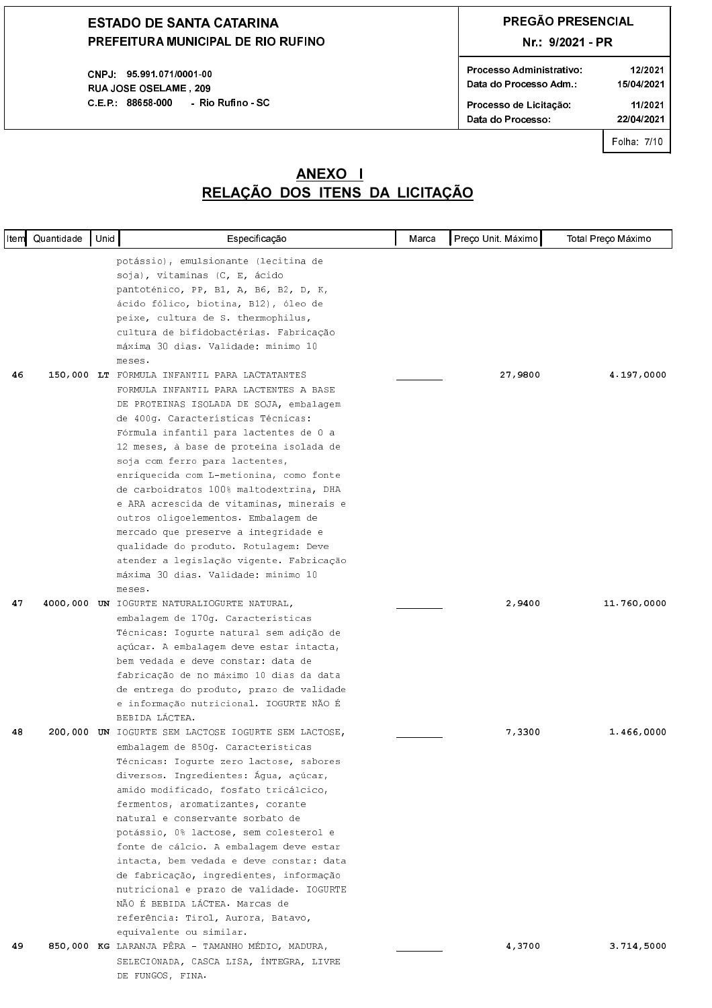CNPJ: 95.991.071/0001-00 RUAJOSE OSELAME, 209 C.E.P.: 88658-000 - Rio Rufino - SC

## PREGÃO PRESENCIAL

### Nr.: 9/2021 - PR

| Processo Administrativo<br>Data do Processo Adm | 12/2021<br>15/04/2021 |
|-------------------------------------------------|-----------------------|
| Processo de Licitação:                          | 11/2021               |
| Data do Processo:                               | 22/04/2021            |
|                                                 |                       |

Folha: 7/10

| ltemi | Quantidade | Unid | Especificação                                                                                                                                                                                                                                                                                                                                                                                                                                                                                                                                                                                                              | Marca | Preço Unit. Máximo | Total Preço Máximo |
|-------|------------|------|----------------------------------------------------------------------------------------------------------------------------------------------------------------------------------------------------------------------------------------------------------------------------------------------------------------------------------------------------------------------------------------------------------------------------------------------------------------------------------------------------------------------------------------------------------------------------------------------------------------------------|-------|--------------------|--------------------|
| 46    |            |      | potássio), emulsionante (lecitina de<br>soja), vitaminas (C, E, ácido<br>pantoténico, PP, B1, A, B6, B2, D, K,<br>ácido fólico, biotina, B12), óleo de<br>peixe, cultura de S. thermophilus,<br>cultura de bifidobactérias. Fabricação<br>máxima 30 dias. Validade: mínimo 10<br>meses.<br>150,000 LT FORMULA INFANTIL PARA LACTATANTES<br>FORMULA INFANTIL PARA LACTENTES A BASE                                                                                                                                                                                                                                          |       | 27,9800            | 4.197,0000         |
|       |            |      | DE PROTEINAS ISOLADA DE SOJA, embalagem<br>de 400g. Características Técnicas:<br>Fórmula infantil para lactentes de 0 a<br>12 meses, à base de proteína isolada de<br>soja com ferro para lactentes,<br>enriquecida com L-metionina, como fonte<br>de carboidratos 100% maltodextrina, DHA<br>e ARA acrescida de vitaminas, minerais e<br>outros oligoelementos. Embalagem de<br>mercado que preserve a integridade e<br>qualidade do produto. Rotulagem: Deve<br>atender a legislação vigente. Fabricação<br>máxima 30 dias. Validade: mínimo 10<br>meses.                                                                |       |                    |                    |
| 47    |            |      | 4000,000 UN IOGURTE NATURALIOGURTE NATURAL,<br>embalagem de 170g. Características<br>Técnicas: Ioqurte natural sem adição de<br>açúcar. A embalagem deve estar intacta,<br>bem vedada e deve constar: data de<br>fabricação de no máximo 10 dias da data<br>de entrega do produto, prazo de validade<br>e informação nutricional. IOGURTE NÃO É<br>BEBIDA LÁCTEA.                                                                                                                                                                                                                                                          |       | 2,9400             | 11.760,0000        |
| 48    |            |      | 200,000 UN IOGURTE SEM LACTOSE IOGURTE SEM LACTOSE,<br>embalagem de 850g. Características<br>Técnicas: Iogurte zero lactose, sabores<br>diversos. Ingredientes: Água, açúcar,<br>amido modificado, fosfato tricálcico,<br>fermentos, aromatizantes, corante<br>natural e conservante sorbato de<br>potássio, 0% lactose, sem colesterol e<br>fonte de cálcio. A embalagem deve estar<br>intacta, bem vedada e deve constar: data<br>de fabricação, ingredientes, informação<br>nutricional e prazo de validade. IOGURTE<br>NÃO É BEBIDA LÁCTEA. Marcas de<br>referência: Tirol, Aurora, Batavo,<br>equivalente ou similar. |       | 7,3300             | 1.466,0000         |
| 49    |            |      | 850,000 KG LARANJA PÊRA - TAMANHO MÉDIO, MADURA,<br>SELECIONADA, CASCA LISA, ÍNTEGRA, LIVRE<br>DE FUNGOS, FINA.                                                                                                                                                                                                                                                                                                                                                                                                                                                                                                            |       | 4,3700             | 3.714,5000         |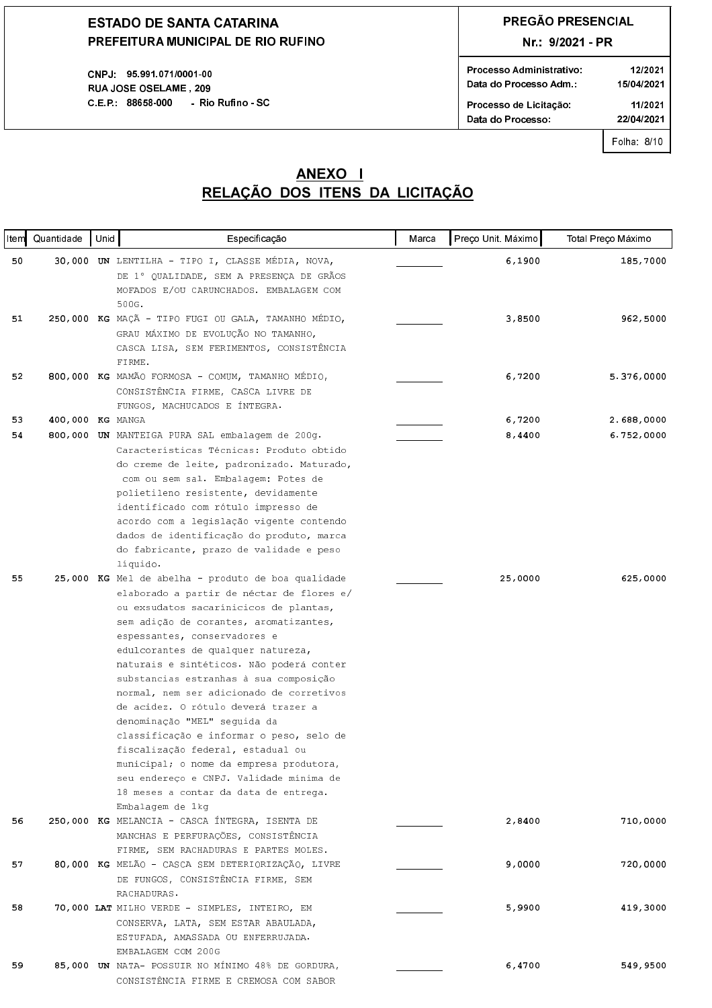CNPJ 95 991 071/0001 00 **RUAJOSE OSELAME. 209** C.E.P. 88658-000 - Rio Rufino - SC

## **PREGÃO PRESENCIAL**

Nr.: 9/2021 - PR

| Processo Administrativo | 12/2021    |
|-------------------------|------------|
| Data do Processo Adm.:  | 15/04/2021 |
| Processo de Licitação:  | 11/2021    |
| Data do Processo:       | 22/04/2021 |

Folha: 8/10

### <u>RELAÇÃO DOS ITENS DA LICITAÇÃO</u> **ANEXO I**

| <b>Item</b> | Quantidade       | Unid | Especificação                                                                      | Marca | Preço Unit. Máximo | Total Preço Máximo |
|-------------|------------------|------|------------------------------------------------------------------------------------|-------|--------------------|--------------------|
| 50          |                  |      | 30,000 UN LENTILHA - TIPO I, CLASSE MÉDIA, NOVA,                                   |       | 6,1900             | 185,7000           |
|             |                  |      | DE 1º QUALIDADE, SEM A PRESENÇA DE GRÃOS                                           |       |                    |                    |
|             |                  |      | MOFADOS E/OU CARUNCHADOS. EMBALAGEM COM                                            |       |                    |                    |
|             |                  |      | 500G.                                                                              |       |                    |                    |
| 51          |                  |      | 250,000 KG MAÇÃ - TIPO FUGI OU GALA, TAMANHO MÉDIO,                                |       | 3,8500             | 962,5000           |
|             |                  |      | GRAU MÁXIMO DE EVOLUÇÃO NO TAMANHO,                                                |       |                    |                    |
|             |                  |      | CASCA LISA, SEM FERIMENTOS, CONSISTÊNCIA                                           |       |                    |                    |
|             |                  |      | FIRME.                                                                             |       |                    |                    |
| 52          |                  |      | 800,000 KG MAMÃO FORMOSA - COMUM, TAMANHO MÉDIO,                                   |       | 6,7200             | 5.376,0000         |
|             |                  |      | CONSISTÊNCIA FIRME, CASCA LIVRE DE                                                 |       |                    |                    |
|             |                  |      | FUNGOS, MACHUCADOS E ÍNTEGRA.                                                      |       |                    |                    |
| 53          | 400,000 KG MANGA |      |                                                                                    |       | 6,7200             | 2.688,0000         |
| 54          |                  |      | 800,000 UN MANTEIGA PURA SAL embalagem de 200g.                                    |       | 8,4400             | 6.752,0000         |
|             |                  |      | Características Técnicas: Produto obtido                                           |       |                    |                    |
|             |                  |      | do creme de leite, padronizado. Maturado,                                          |       |                    |                    |
|             |                  |      | com ou sem sal. Embalagem: Potes de                                                |       |                    |                    |
|             |                  |      | polietileno resistente, devidamente                                                |       |                    |                    |
|             |                  |      | identificado com rótulo impresso de                                                |       |                    |                    |
|             |                  |      | acordo com a legislação vigente contendo                                           |       |                    |                    |
|             |                  |      | dados de identificação do produto, marca                                           |       |                    |                    |
|             |                  |      | do fabricante, prazo de validade e peso                                            |       |                    |                    |
|             |                  |      | líquido.                                                                           |       |                    |                    |
| 55          |                  |      | 25,000 KG Mel de abelha - produto de boa qualidade                                 |       | 25,0000            | 625,0000           |
|             |                  |      | elaborado a partir de néctar de flores e/                                          |       |                    |                    |
|             |                  |      | ou exsudatos sacarínicicos de plantas,                                             |       |                    |                    |
|             |                  |      | sem adição de corantes, aromatizantes,                                             |       |                    |                    |
|             |                  |      | espessantes, conservadores e                                                       |       |                    |                    |
|             |                  |      | edulcorantes de qualquer natureza,                                                 |       |                    |                    |
|             |                  |      | naturais e sintéticos. Não poderá conter                                           |       |                    |                    |
|             |                  |      | substancias estranhas à sua composição<br>normal, nem ser adicionado de corretivos |       |                    |                    |
|             |                  |      | de acidez. O rótulo deverá trazer a                                                |       |                    |                    |
|             |                  |      | denominação "MEL" seguida da                                                       |       |                    |                    |
|             |                  |      | classificação e informar o peso, selo de                                           |       |                    |                    |
|             |                  |      | fiscalização federal, estadual ou                                                  |       |                    |                    |
|             |                  |      | municipal; o nome da empresa produtora,                                            |       |                    |                    |
|             |                  |      | seu endereço e CNPJ. Validade mínima de                                            |       |                    |                    |
|             |                  |      | 18 meses a contar da data de entrega.                                              |       |                    |                    |
|             |                  |      | Embalagem de 1kg                                                                   |       |                    |                    |
| 56          |                  |      | 250,000 KG MELANCIA - CASCA ÍNTEGRA, ISENTA DE                                     |       | 2,8400             | 710,0000           |
|             |                  |      | MANCHAS E PERFURAÇÕES, CONSISTÊNCIA                                                |       |                    |                    |
|             |                  |      | FIRME, SEM RACHADURAS E PARTES MOLES.                                              |       |                    |                    |
| 57          |                  |      | 80,000 KG MELÃO - CASCA SEM DETERIORIZAÇÃO, LIVRE                                  |       | 9,0000             | 720,0000           |
|             |                  |      | DE FUNGOS, CONSISTÊNCIA FIRME, SEM                                                 |       |                    |                    |
|             |                  |      | RACHADURAS.                                                                        |       |                    |                    |
| 58          |                  |      | 70,000 LAT MILHO VERDE - SIMPLES, INTEIRO, EM                                      |       | 5,9900             | 419,3000           |
|             |                  |      | CONSERVA, LATA, SEM ESTAR ABAULADA,                                                |       |                    |                    |
|             |                  |      | ESTUFADA, AMASSADA OU ENFERRUJADA.                                                 |       |                    |                    |
|             |                  |      | EMBALAGEM COM 200G                                                                 |       |                    |                    |
| 59          |                  |      | 85,000 UN NATA- POSSUIR NO MÍNIMO 48% DE GORDURA,                                  |       | 6,4700             | 549,9500           |
|             |                  |      | CONSISTÊNCIA FIRME E CREMOSA COM SABOR                                             |       |                    |                    |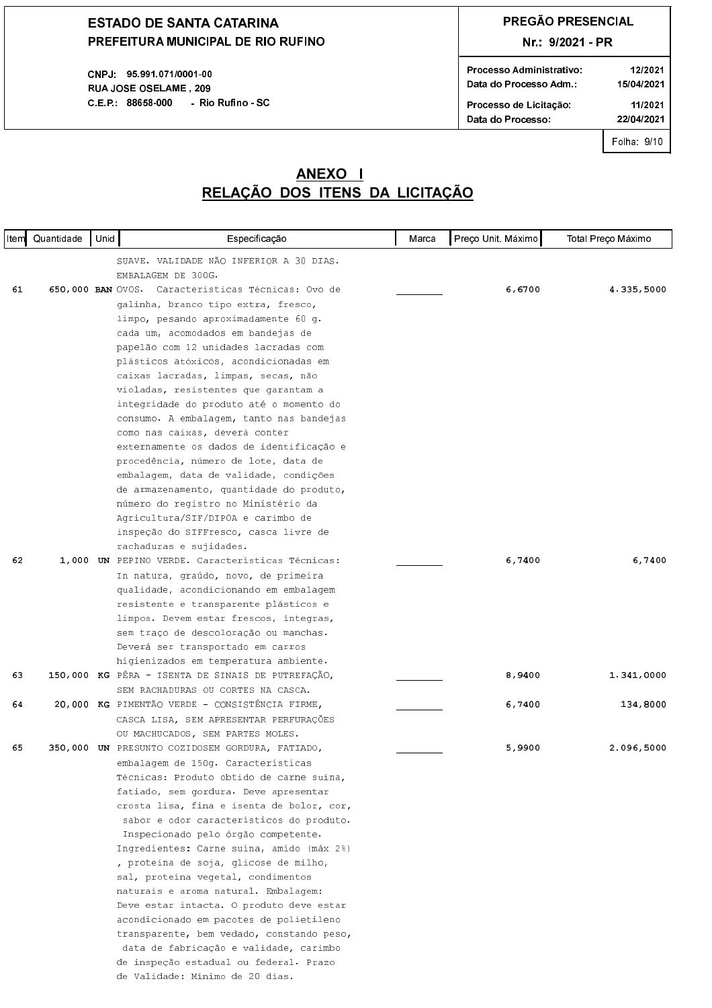CNPJ 95 991 071/0001-00 **RUAJOSE OSELAME, 209** C.E.P.: 88658-000 - Rio Rufino - SC

## PREGÃO PRESENCIAL

### Nr.: 9/2021 - PR

| Processo Administrativo<br>Data do Processo Adm | 12/2021<br>15/04/2021 |
|-------------------------------------------------|-----------------------|
| Processo de Licitação                           | 11/2021               |
| Data do Processo:                               | 22/04/2021            |
|                                                 |                       |

Folha: 9/10

|    | Item Quantidade | Unid | Especificação                                                                    | Marca | Preço Unit. Máximo | Total Preço Máximo |
|----|-----------------|------|----------------------------------------------------------------------------------|-------|--------------------|--------------------|
|    |                 |      | SUAVE. VALIDADE NÃO INFERIOR A 30 DIAS.                                          |       |                    |                    |
|    |                 |      | EMBALAGEM DE 300G.                                                               |       |                    |                    |
| 61 |                 |      | 650,000 BAN OVOS. Características Técnicas: Ovo de                               |       | 6,6700             | 4.335,5000         |
|    |                 |      | galinha, branco tipo extra, fresco,                                              |       |                    |                    |
|    |                 |      | limpo, pesando aproximadamente 60 g.                                             |       |                    |                    |
|    |                 |      | cada um, acomodados em bandejas de                                               |       |                    |                    |
|    |                 |      | papelão com 12 unidades lacradas com                                             |       |                    |                    |
|    |                 |      | plásticos atóxicos, acondicionadas em                                            |       |                    |                    |
|    |                 |      | caixas lacradas, limpas, secas, não                                              |       |                    |                    |
|    |                 |      | violadas, resistentes que garantam a                                             |       |                    |                    |
|    |                 |      | integridade do produto até o momento do                                          |       |                    |                    |
|    |                 |      | consumo. A embalagem, tanto nas bandejas                                         |       |                    |                    |
|    |                 |      | como nas caixas, deverá conter                                                   |       |                    |                    |
|    |                 |      | externamente os dados de identificação e                                         |       |                    |                    |
|    |                 |      | procedência, número de lote, data de                                             |       |                    |                    |
|    |                 |      | embalagem, data de validade, condições                                           |       |                    |                    |
|    |                 |      | de armazenamento, quantidade do produto,                                         |       |                    |                    |
|    |                 |      | número do registro no Ministério da                                              |       |                    |                    |
|    |                 |      | Agricultura/SIF/DIPOA e carimbo de                                               |       |                    |                    |
|    |                 |      | inspeção do SIFFresco, casca livre de                                            |       |                    |                    |
|    |                 |      | rachaduras e sujidades.                                                          |       |                    |                    |
| 62 |                 |      | 1,000 UN PEPINO VERDE. Características Técnicas:                                 |       | 6,7400             | 6,7400             |
|    |                 |      | In natura, graúdo, novo, de primeira                                             |       |                    |                    |
|    |                 |      | qualidade, acondicionando em embalagem                                           |       |                    |                    |
|    |                 |      | resistente e transparente plásticos e                                            |       |                    |                    |
|    |                 |      | limpos. Devem estar frescos, integras,                                           |       |                    |                    |
|    |                 |      | sem traço de descoloração ou manchas.                                            |       |                    |                    |
|    |                 |      | Deverá ser transportado em carros                                                |       |                    |                    |
|    |                 |      | higienizados em temperatura ambiente.                                            |       |                    |                    |
| 63 |                 |      | 150,000 KG PÊRA - ISENTA DE SINAIS DE PUTREFAÇÃO,                                |       | 8,9400             | 1.341,0000         |
|    |                 |      | SEM RACHADURAS OU CORTES NA CASCA.                                               |       |                    |                    |
| 64 |                 |      | 20,000 KG PIMENTÃO VERDE - CONSISTÊNCIA FIRME,                                   |       | 6,7400             | 134,8000           |
|    |                 |      | CASCA LISA, SEM APRESENTAR PERFURAÇÕES                                           |       |                    |                    |
|    |                 |      | OU MACHUCADOS, SEM PARTES MOLES.                                                 |       |                    |                    |
| 65 |                 |      | 350,000 UN PRESUNTO COZIDOSEM GORDURA, FATIADO,                                  |       | 5,9900             | 2.096,5000         |
|    |                 |      | embalagem de 150g. Características                                               |       |                    |                    |
|    |                 |      | Técnicas: Produto obtido de carne suína,                                         |       |                    |                    |
|    |                 |      | fatiado, sem gordura. Deve apresentar                                            |       |                    |                    |
|    |                 |      | crosta lisa, fina e isenta de bolor, cor,                                        |       |                    |                    |
|    |                 |      | sabor e odor característicos do produto.                                         |       |                    |                    |
|    |                 |      | Inspecionado pelo órgão competente.<br>Ingredientes: Carne suína, amido (máx 2%) |       |                    |                    |
|    |                 |      | , proteína de soja, glicose de milho,                                            |       |                    |                    |
|    |                 |      | sal, proteína vegetal, condimentos                                               |       |                    |                    |
|    |                 |      | naturais e aroma natural. Embalagem:                                             |       |                    |                    |
|    |                 |      | Deve estar intacta. O produto deve estar                                         |       |                    |                    |
|    |                 |      | acondicionado em pacotes de polietileno                                          |       |                    |                    |
|    |                 |      | transparente, bem vedado, constando peso,                                        |       |                    |                    |
|    |                 |      | data de fabricação e validade, carimbo                                           |       |                    |                    |
|    |                 |      | de inspeção estadual ou federal. Prazo                                           |       |                    |                    |
|    |                 |      | de Validade: Mínimo de 20 dias.                                                  |       |                    |                    |